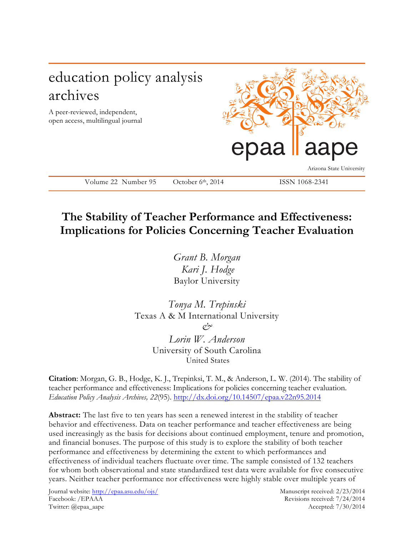

## **The Stability of Teacher Performance and Effectiveness: Implications for Policies Concerning Teacher Evaluation**

*Grant B. Morgan Kari J. Hodge* Baylor University

*Tonya M. Trepinski* Texas A & M International University *&*

*Lorin W. Anderson* University of South Carolina United States

**Citation**: Morgan, G. B., Hodge, K. J., Trepinksi, T. M., & Anderson, L. W. (2014). The stability of teacher performance and effectiveness: Implications for policies concerning teacher evaluation. *Education Policy Analysis Archives, 22*(95). http://dx.doi.org/10.14507/epaa.v22n95.2014

**Abstract:** The last five to ten years has seen a renewed interest in the stability of teacher behavior and effectiveness. Data on teacher performance and teacher effectiveness are being used increasingly as the basis for decisions about continued employment, tenure and promotion, and financial bonuses. The purpose of this study is to explore the stability of both teacher performance and effectiveness by determining the extent to which performances and effectiveness of individual teachers fluctuate over time. The sample consisted of 132 teachers for whom both observational and state standardized test data were available for five consecutive years. Neither teacher performance nor effectiveness were highly stable over multiple years of

Journal website: http://epaa.asu.edu/ojs/ Manuscript received: 2/23/2014 Facebook: /EPAAA Revisions received: 7/24/2014 Twitter: @epaa\_aape Accepted: 7/30/2014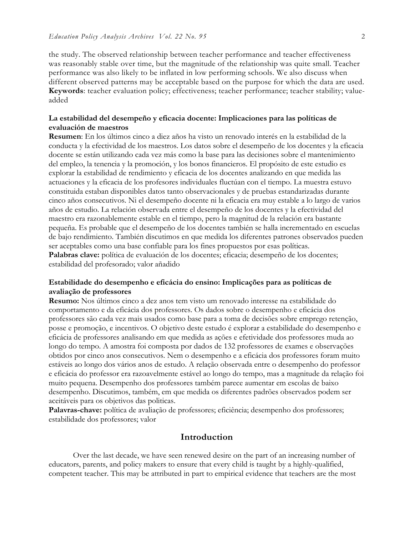the study. The observed relationship between teacher performance and teacher effectiveness was reasonably stable over time, but the magnitude of the relationship was quite small. Teacher performance was also likely to be inflated in low performing schools. We also discuss when different observed patterns may be acceptable based on the purpose for which the data are used. **Keywords**: teacher evaluation policy; effectiveness; teacher performance; teacher stability; valueadded

#### **La estabilidad del desempeño y eficacia docente: Implicaciones para las políticas de evaluación de maestros**

**Resumen**: En los últimos cinco a diez años ha visto un renovado interés en la estabilidad de la conducta y la efectividad de los maestros. Los datos sobre el desempeño de los docentes y la eficacia docente se están utilizando cada vez más como la base para las decisiones sobre el mantenimiento del empleo, la tenencia y la promoción, y los bonos financieros. El propósito de este estudio es explorar la estabilidad de rendimiento y eficacia de los docentes analizando en que medida las actuaciones y la eficacia de los profesores individuales fluctúan con el tiempo. La muestra estuvo constituida estaban disponibles datos tanto observacionales y de pruebas estandarizadas durante cinco años consecutivos. Ni el desempeño docente ni la eficacia era muy estable a lo largo de varios años de estudio. La relación observada entre el desempeño de los docentes y la efectividad del maestro era razonablemente estable en el tiempo, pero la magnitud de la relación era bastante pequeña. Es probable que el desempeño de los docentes también se halla incrementado en escuelas de bajo rendimiento. También discutimos en que medida los diferentes patrones observados pueden ser aceptables como una base confiable para los fines propuestos por esas políticas. **Palabras clave:** política de evaluación de los docentes; eficacia; desempeño de los docentes; estabilidad del profesorado; valor añadido

## **Estabilidade do desempenho e eficácia do ensino: Implicações para as políticas de avaliação de professores**

**Resumo:** Nos últimos cinco a dez anos tem visto um renovado interesse na estabilidade do comportamento e da eficácia dos professores. Os dados sobre o desempenho e eficácia dos professores são cada vez mais usados como base para a toma de decisões sobre emprego retenção, posse e promoção, e incentivos. O objetivo deste estudo é explorar a estabilidade do desempenho e eficácia de professores analisando em que medida as ações e efetividade dos professores muda ao longo do tempo. A amostra foi composta por dados de 132 professores de exames e observações obtidos por cinco anos consecutivos. Nem o desempenho e a eficácia dos professores foram muito estáveis ao longo dos vários anos de estudo. A relação observada entre o desempenho do professor e eficácia do professor era razoavelmente estável ao longo do tempo, mas a magnitude da relação foi muito pequena. Desempenho dos professores também parece aumentar em escolas de baixo desempenho. Discutimos, também, em que medida os diferentes padrões observados podem ser aceitáveis para os objetivos das politicas.

**Palavras-chave:** política de avaliação de professores; eficiência; desempenho dos professores; estabilidade dos professores; valor

#### **Introduction**

Over the last decade, we have seen renewed desire on the part of an increasing number of educators, parents, and policy makers to ensure that every child is taught by a highly-qualified, competent teacher. This may be attributed in part to empirical evidence that teachers are the most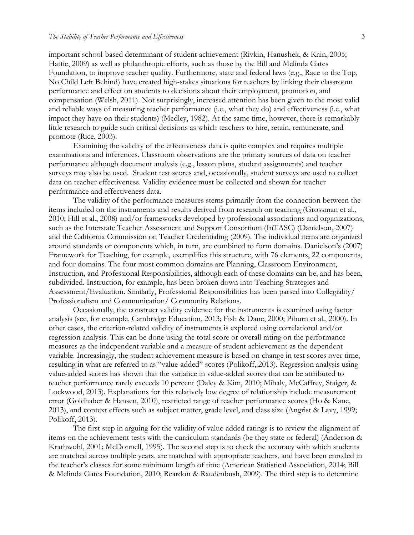important school-based determinant of student achievement (Rivkin, Hanushek, & Kain, 2005; Hattie, 2009) as well as philanthropic efforts, such as those by the Bill and Melinda Gates Foundation, to improve teacher quality. Furthermore, state and federal laws (e.g., Race to the Top, No Child Left Behind) have created high-stakes situations for teachers by linking their classroom performance and effect on students to decisions about their employment, promotion, and compensation (Welsh, 2011). Not surprisingly, increased attention has been given to the most valid and reliable ways of measuring teacher performance (i.e., what they do) and effectiveness (i.e., what impact they have on their students) (Medley, 1982). At the same time, however, there is remarkably little research to guide such critical decisions as which teachers to hire, retain, remunerate, and promote (Rice, 2003).

Examining the validity of the effectiveness data is quite complex and requires multiple examinations and inferences. Classroom observations are the primary sources of data on teacher performance although document analysis (e.g., lesson plans, student assignments) and teacher surveys may also be used. Student test scores and, occasionally, student surveys are used to collect data on teacher effectiveness. Validity evidence must be collected and shown for teacher performance and effectiveness data.

The validity of the performance measures stems primarily from the connection between the items included on the instruments and results derived from research on teaching (Grossman et al., 2010; Hill et al., 2008) and/or frameworks developed by professional associations and organizations, such as the Interstate Teacher Assessment and Support Consortium (InTASC) (Danielson, 2007) and the California Commission on Teacher Credentialing (2009). The individual items are organized around standards or components which, in turn, are combined to form domains. Danielson's (2007) Framework for Teaching, for example, exemplifies this structure, with 76 elements, 22 components, and four domains. The four most common domains are Planning, Classroom Environment, Instruction, and Professional Responsibilities, although each of these domains can be, and has been, subdivided. Instruction, for example, has been broken down into Teaching Strategies and Assessment/Evaluation. Similarly, Professional Responsibilities has been parsed into Collegiality/ Professionalism and Communication/ Community Relations.

Occasionally, the construct validity evidence for the instruments is examined using factor analysis (see, for example, Cambridge Education, 2013; Fish & Dane, 2000; Piburn et al., 2000). In other cases, the criterion-related validity of instruments is explored using correlational and/or regression analysis. This can be done using the total score or overall rating on the performance measures as the independent variable and a measure of student achievement as the dependent variable. Increasingly, the student achievement measure is based on change in test scores over time, resulting in what are referred to as "value-added" scores (Polikoff, 2013). Regression analysis using value-added scores has shown that the variance in value-added scores that can be attributed to teacher performance rarely exceeds 10 percent (Daley & Kim, 2010; Mihaly, McCaffrey, Staiger, & Lockwood, 2013). Explanations for this relatively low degree of relationship include measurement error (Goldhaber & Hansen, 2010), restricted range of teacher performance scores (Ho & Kane, 2013), and context effects such as subject matter, grade level, and class size (Angrist & Lavy, 1999; Polikoff, 2013).

The first step in arguing for the validity of value-added ratings is to review the alignment of items on the achievement tests with the curriculum standards (be they state or federal) (Anderson & Krathwohl, 2001; McDonnell, 1995). The second step is to check the accuracy with which students are matched across multiple years, are matched with appropriate teachers, and have been enrolled in the teacher's classes for some minimum length of time (American Statistical Association, 2014; Bill & Melinda Gates Foundation, 2010; Reardon & Raudenbush, 2009). The third step is to determine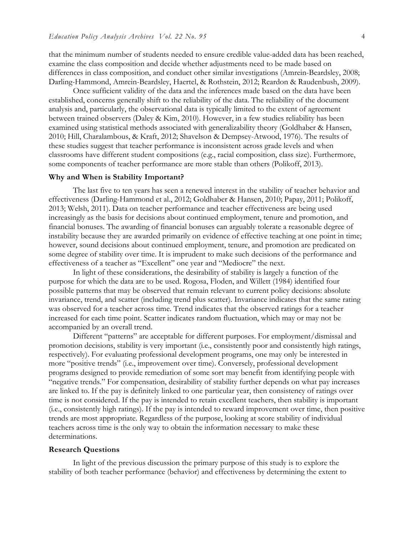that the minimum number of students needed to ensure credible value-added data has been reached, examine the class composition and decide whether adjustments need to be made based on differences in class composition, and conduct other similar investigations (Amrein-Beardsley, 2008; Darling-Hammond, Amrein-Beardsley, Haertel, & Rothstein, 2012; Reardon & Raudenbush, 2009).

Once sufficient validity of the data and the inferences made based on the data have been established, concerns generally shift to the reliability of the data. The reliability of the document analysis and, particularly, the observational data is typically limited to the extent of agreement between trained observers (Daley & Kim, 2010). However, in a few studies reliability has been examined using statistical methods associated with generalizability theory (Goldhaber & Hansen, 2010; Hill, Charalambous, & Kraft, 2012; Shavelson & Dempsey-Atwood, 1976). The results of these studies suggest that teacher performance is inconsistent across grade levels and when classrooms have different student compositions (e.g., racial composition, class size). Furthermore, some components of teacher performance are more stable than others (Polikoff, 2013).

#### **Why and When is Stability Important?**

The last five to ten years has seen a renewed interest in the stability of teacher behavior and effectiveness (Darling-Hammond et al., 2012; Goldhaber & Hansen, 2010; Papay, 2011; Polikoff, 2013; Welsh, 2011). Data on teacher performance and teacher effectiveness are being used increasingly as the basis for decisions about continued employment, tenure and promotion, and financial bonuses. The awarding of financial bonuses can arguably tolerate a reasonable degree of instability because they are awarded primarily on evidence of effective teaching at one point in time; however, sound decisions about continued employment, tenure, and promotion are predicated on some degree of stability over time. It is imprudent to make such decisions of the performance and effectiveness of a teacher as "Excellent" one year and "Mediocre" the next.

In light of these considerations, the desirability of stability is largely a function of the purpose for which the data are to be used. Rogosa, Floden, and Willett (1984) identified four possible patterns that may be observed that remain relevant to current policy decisions: absolute invariance, trend, and scatter (including trend plus scatter). Invariance indicates that the same rating was observed for a teacher across time. Trend indicates that the observed ratings for a teacher increased for each time point. Scatter indicates random fluctuation, which may or may not be accompanied by an overall trend.

Different "patterns" are acceptable for different purposes. For employment/dismissal and promotion decisions, stability is very important (i.e., consistently poor and consistently high ratings, respectively). For evaluating professional development programs, one may only be interested in more "positive trends" (i.e., improvement over time). Conversely, professional development programs designed to provide remediation of some sort may benefit from identifying people with "negative trends." For compensation, desirability of stability further depends on what pay increases are linked to. If the pay is definitely linked to one particular year, then consistency of ratings over time is not considered. If the pay is intended to retain excellent teachers, then stability is important (i.e., consistently high ratings). If the pay is intended to reward improvement over time, then positive trends are most appropriate. Regardless of the purpose, looking at score stability of individual teachers across time is the only way to obtain the information necessary to make these determinations.

#### **Research Questions**

In light of the previous discussion the primary purpose of this study is to explore the stability of both teacher performance (behavior) and effectiveness by determining the extent to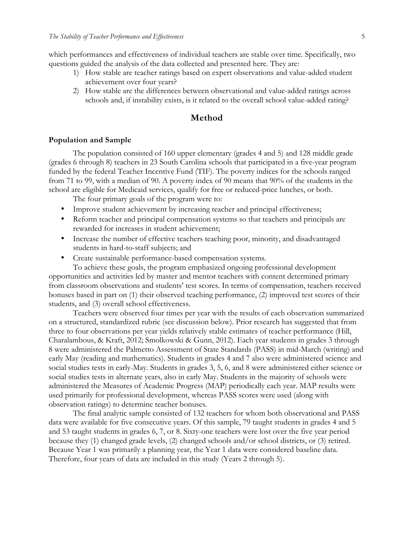which performances and effectiveness of individual teachers are stable over time. Specifically, two questions guided the analysis of the data collected and presented here. They are:

- 1) How stable are teacher ratings based on expert observations and value-added student achievement over four years?
- 2) How stable are the differences between observational and value-added ratings across schools and, if instability exists, is it related to the overall school value-added rating?

## **Method**

#### **Population and Sample**

The population consisted of 160 upper elementary (grades 4 and 5) and 128 middle grade (grades 6 through 8) teachers in 23 South Carolina schools that participated in a five-year program funded by the federal Teacher Incentive Fund (TIF). The poverty indices for the schools ranged from 71 to 99, with a median of 90. A poverty index of 90 means that 90% of the students in the school are eligible for Medicaid services, qualify for free or reduced-price lunches, or both.

The four primary goals of the program were to:

- Improve student achievement by increasing teacher and principal effectiveness;
- Reform teacher and principal compensation systems so that teachers and principals are rewarded for increases in student achievement;
- Increase the number of effective teachers teaching poor, minority, and disadvantaged students in hard-to-staff subjects; and
- Create sustainable performance-based compensation systems.

To achieve these goals, the program emphasized ongoing professional development opportunities and activities led by master and mentor teachers with content determined primary from classroom observations and students' test scores. In terms of compensation, teachers received bonuses based in part on (1) their observed teaching performance, (2) improved test scores of their students, and (3) overall school effectiveness.

Teachers were observed four times per year with the results of each observation summarized on a structured, standardized rubric (see discussion below). Prior research has suggested that from three to four observations per year yields relatively stable estimates of teacher performance (Hill, Charalambous, & Kraft, 2012; Smolkowski & Gunn, 2012). Each year students in grades 3 through 8 were administered the Palmetto Assessment of State Standards (PASS) in mid-March (writing) and early May (reading and mathematics). Students in grades 4 and 7 also were administered science and social studies tests in early-May. Students in grades 3, 5, 6, and 8 were administered either science or social studies tests in alternate years, also in early May. Students in the majority of schools were administered the Measures of Academic Progress (MAP) periodically each year. MAP results were used primarily for professional development, whereas PASS scores were used (along with observation ratings) to determine teacher bonuses.

The final analytic sample consisted of 132 teachers for whom both observational and PASS data were available for five consecutive years. Of this sample, 79 taught students in grades 4 and 5 and 53 taught students in grades 6, 7, or 8. Sixty-one teachers were lost over the five year period because they (1) changed grade levels, (2) changed schools and/or school districts, or (3) retired. Because Year 1 was primarily a planning year, the Year 1 data were considered baseline data. Therefore, four years of data are included in this study (Years 2 through 5).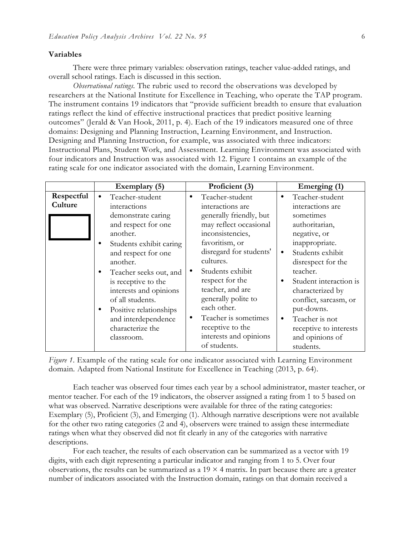#### **Variables**

There were three primary variables: observation ratings, teacher value-added ratings, and overall school ratings. Each is discussed in this section.

*Observational ratings.* The rubric used to record the observations was developed by researchers at the National Institute for Excellence in Teaching, who operate the TAP program. The instrument contains 19 indicators that "provide sufficient breadth to ensure that evaluation ratings reflect the kind of effective instructional practices that predict positive learning outcomes" (Jerald & Van Hook, 2011, p. 4). Each of the 19 indicators measured one of three domains: Designing and Planning Instruction, Learning Environment, and Instruction. Designing and Planning Instruction, for example, was associated with three indicators: Instructional Plans, Student Work, and Assessment. Learning Environment was associated with four indicators and Instruction was associated with 12. Figure 1 contains an example of the rating scale for one indicator associated with the domain, Learning Environment.

|                       | Exemplary (5)                                                                                                                                                                                                                                                                                                                                                                  | Proficient (3)                                                                                                                                                                                                                                                                                                                | Emerging (1)                                                                                                                                                                                                                                                                                                               |
|-----------------------|--------------------------------------------------------------------------------------------------------------------------------------------------------------------------------------------------------------------------------------------------------------------------------------------------------------------------------------------------------------------------------|-------------------------------------------------------------------------------------------------------------------------------------------------------------------------------------------------------------------------------------------------------------------------------------------------------------------------------|----------------------------------------------------------------------------------------------------------------------------------------------------------------------------------------------------------------------------------------------------------------------------------------------------------------------------|
| Respectful<br>Culture | Teacher-student<br>$\bullet$<br>interactions<br>demonstrate caring<br>and respect for one<br>another.<br>Students exhibit caring<br>$\bullet$<br>and respect for one<br>another.<br>Teacher seeks out, and<br>$\bullet$<br>is receptive to the<br>interests and opinions<br>of all students.<br>Positive relationships<br>$\bullet$<br>and interdependence<br>characterize the | Teacher-student<br>٠<br>interactions are<br>generally friendly, but<br>may reflect occasional<br>inconsistencies,<br>favoritism, or<br>disregard for students'<br>cultures.<br>Students exhibit<br>respect for the<br>teacher, and are<br>generally polite to<br>each other.<br>Teacher is sometimes<br>٠<br>receptive to the | Teacher-student<br>٠<br>interactions are<br>sometimes<br>authoritarian,<br>negative, or<br>inappropriate.<br>Students exhibit<br>$\bullet$<br>disrespect for the<br>teacher.<br>Student interaction is<br>characterized by<br>conflict, sarcasm, or<br>put-downs.<br>Teacher is not<br>$\bullet$<br>receptive to interests |
|                       | classroom.                                                                                                                                                                                                                                                                                                                                                                     | interests and opinions<br>of students.                                                                                                                                                                                                                                                                                        | and opinions of<br>students.                                                                                                                                                                                                                                                                                               |

Figure 1. Example of the rating scale for one indicator associated with Learning Environment domain*.* Adapted from National Institute for Excellence in Teaching (2013, p. 64).

Each teacher was observed four times each year by a school administrator, master teacher, or mentor teacher. For each of the 19 indicators, the observer assigned a rating from 1 to 5 based on what was observed. Narrative descriptions were available for three of the rating categories: Exemplary (5), Proficient (3), and Emerging (1). Although narrative descriptions were not available for the other two rating categories (2 and 4), observers were trained to assign these intermediate ratings when what they observed did not fit clearly in any of the categories with narrative descriptions.

For each teacher, the results of each observation can be summarized as a vector with 19 digits, with each digit representing a particular indicator and ranging from 1 to 5. Over four observations, the results can be summarized as a  $19 \times 4$  matrix. In part because there are a greater number of indicators associated with the Instruction domain, ratings on that domain received a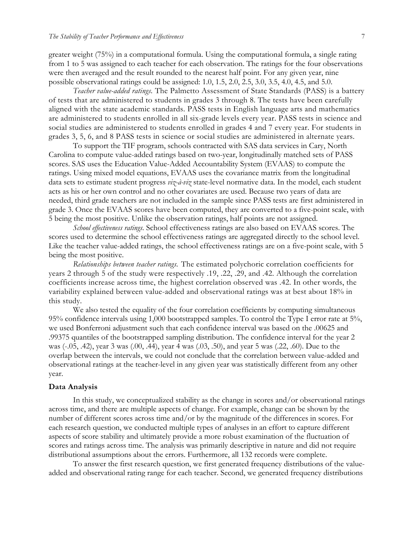greater weight (75%) in a computational formula. Using the computational formula, a single rating from 1 to 5 was assigned to each teacher for each observation. The ratings for the four observations were then averaged and the result rounded to the nearest half point. For any given year, nine possible observational ratings could be assigned: 1.0, 1.5, 2.0, 2.5, 3.0, 3.5, 4.0, 4.5, and 5.0.

*Teacher value-added ratings.* The Palmetto Assessment of State Standards (PASS) is a battery of tests that are administered to students in grades 3 through 8. The tests have been carefully aligned with the state academic standards. PASS tests in English language arts and mathematics are administered to students enrolled in all six-grade levels every year. PASS tests in science and social studies are administered to students enrolled in grades 4 and 7 every year. For students in grades 3, 5, 6, and 8 PASS tests in science or social studies are administered in alternate years.

To support the TIF program, schools contracted with SAS data services in Cary, North Carolina to compute value-added ratings based on two-year, longitudinally matched sets of PASS scores. SAS uses the Education Value-Added Accountability System (EVAAS) to compute the ratings. Using mixed model equations, EVAAS uses the covariance matrix from the longitudinal data sets to estimate student progress *viz-à-viz* state-level normative data. In the model, each student acts as his or her own control and no other covariates are used. Because two years of data are needed, third grade teachers are not included in the sample since PASS tests are first administered in grade 3. Once the EVAAS scores have been computed, they are converted to a five-point scale, with 5 being the most positive. Unlike the observation ratings, half points are not assigned.

*School effectiveness ratings*. School effectiveness ratings are also based on EVAAS scores. The scores used to determine the school effectiveness ratings are aggregated directly to the school level. Like the teacher value-added ratings, the school effectiveness ratings are on a five-point scale, with 5 being the most positive.

*Relationships between teacher ratings.* The estimated polychoric correlation coefficients for years 2 through 5 of the study were respectively .19, .22, .29, and .42. Although the correlation coefficients increase across time, the highest correlation observed was .42. In other words, the variability explained between value-added and observational ratings was at best about 18% in this study.

We also tested the equality of the four correlation coefficients by computing simultaneous 95% confidence intervals using 1,000 bootstrapped samples. To control the Type I error rate at 5%, we used Bonferroni adjustment such that each confidence interval was based on the .00625 and .99375 quantiles of the bootstrapped sampling distribution. The confidence interval for the year 2 was (-.05, .42), year 3 was (.00, .44), year 4 was (.03, .50), and year 5 was (.22, .60). Due to the overlap between the intervals, we could not conclude that the correlation between value-added and observational ratings at the teacher-level in any given year was statistically different from any other year.

#### **Data Analysis**

In this study, we conceptualized stability as the change in scores and/or observational ratings across time, and there are multiple aspects of change. For example, change can be shown by the number of different scores across time and/or by the magnitude of the differences in scores. For each research question, we conducted multiple types of analyses in an effort to capture different aspects of score stability and ultimately provide a more robust examination of the fluctuation of scores and ratings across time. The analysis was primarily descriptive in nature and did not require distributional assumptions about the errors. Furthermore, all 132 records were complete.

To answer the first research question, we first generated frequency distributions of the valueadded and observational rating range for each teacher. Second, we generated frequency distributions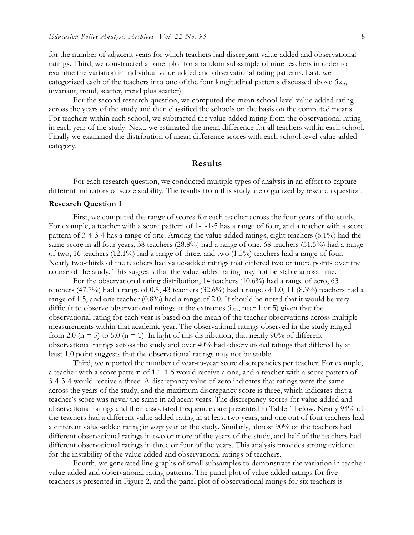for the number of adjacent years for which teachers had discrepant value-added and observational ratings. Third, we constructed a panel plot for a random subsample of nine teachers in order to examine the variation in individual value-added and observational rating patterns. Last, we categorized each of the teachers into one of the four longitudinal patterns discussed above (i.e., invariant, trend, scatter, trend plus scatter).

For the second research question, we computed the mean school-level value-added rating across the years of the study and then classified the schools on the basis on the computed means. For teachers within each school, we subtracted the value-added rating from the observational rating in each year of the study. Next, we estimated the mean difference for all teachers within each school. Finally we examined the distribution of mean difference scores with each school-level value-added category.

#### **Results**

For each research question, we conducted multiple types of analysis in an effort to capture different indicators of score stability. The results from this study are organized by research question.

#### **Research Question 1**

First, we computed the range of scores for each teacher across the four years of the study. For example, a teacher with a score pattern of 1-1-1-5 has a range of four, and a teacher with a score pattern of 3-4-3-4 has a range of one. Among the value-added ratings, eight teachers (6.1%) had the same score in all four years, 38 teachers (28.8%) had a range of one, 68 teachers (51.5%) had a range of two, 16 teachers (12.1%) had a range of three, and two (1.5%) teachers had a range of four. Nearly two-thirds of the teachers had value-added ratings that differed two or more points over the course of the study. This suggests that the value-added rating may not be stable across time.

For the observational rating distribution, 14 teachers (10.6%) had a range of zero, 63 teachers (47.7%) had a range of 0.5, 43 teachers (32.6%) had a range of 1.0, 11 (8.3%) teachers had a range of 1.5, and one teacher (0.8%) had a range of 2.0. It should be noted that it would be very difficult to observe observational ratings at the extremes (i.e., near 1 or 5) given that the observational rating for each year is based on the mean of the teacher observations across multiple measurements within that academic year. The observational ratings observed in the study ranged from 2.0 ( $n = 5$ ) to 5.0 ( $n = 1$ ). In light of this distribution, that nearly 90% of different observational ratings across the study and over 40% had observational ratings that differed by at least 1.0 point suggests that the observational ratings may not be stable.

Third, we reported the number of year-to-year score discrepancies per teacher. For example, a teacher with a score pattern of 1-1-1-5 would receive a one, and a teacher with a score pattern of 3-4-3-4 would receive a three. A discrepancy value of zero indicates that ratings were the same across the years of the study, and the maximum discrepancy score is three, which indicates that a teacher's score was never the same in adjacent years. The discrepancy scores for value-added and observational ratings and their associated frequencies are presented in Table 1 below. Nearly 94% of the teachers had a different value-added rating in at least two years, and one out of four teachers had a different value-added rating in *every* year of the study. Similarly, almost 90% of the teachers had different observational ratings in two or more of the years of the study, and half of the teachers had different observational ratings in three or four of the years. This analysis provides strong evidence for the instability of the value-added and observational ratings of teachers.

Fourth, we generated line graphs of small subsamples to demonstrate the variation in teacher value-added and observational rating patterns. The panel plot of value-added ratings for five teachers is presented in Figure 2, and the panel plot of observational ratings for six teachers is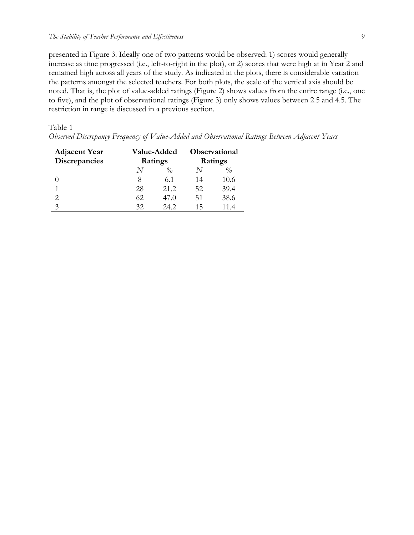presented in Figure 3. Ideally one of two patterns would be observed: 1) scores would generally increase as time progressed (i.e., left-to-right in the plot), or 2) scores that were high at in Year 2 and remained high across all years of the study. As indicated in the plots, there is considerable variation the patterns amongst the selected teachers. For both plots, the scale of the vertical axis should be noted. That is, the plot of value-added ratings (Figure 2) shows values from the entire range (i.e., one to five), and the plot of observational ratings (Figure 3) only shows values between 2.5 and 4.5. The restriction in range is discussed in a previous section.

Table 1

*Observed Discrepancy Frequency of Value-Added and Observational Ratings Between Adjacent Years*

| <b>Adjacent Year</b> | <b>Value-Added</b> |               | <b>Observational</b> |                                  |
|----------------------|--------------------|---------------|----------------------|----------------------------------|
| <b>Discrepancies</b> | Ratings            |               |                      | Ratings                          |
|                      |                    | $\frac{0}{0}$ |                      | $\frac{\partial}{\partial \rho}$ |
|                      |                    | 6.1           | 14                   | 10.6                             |
|                      | 28                 | 21.2          | 52                   | 39.4                             |
| 2                    | 62.                | 47.0          | 51                   | 38.6                             |
|                      | 32                 | 24.2          | 15                   | 114                              |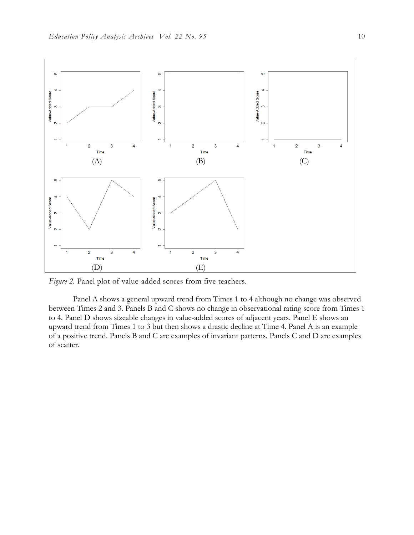

Figure 2. Panel plot of value-added scores from five teachers.

Panel A shows a general upward trend from Times 1 to 4 although no change was observed between Times 2 and 3. Panels B and C shows no change in observational rating score from Times 1 to 4. Panel D shows sizeable changes in value-added scores of adjacent years. Panel E shows an upward trend from Times 1 to 3 but then shows a drastic decline at Time 4. Panel A is an example of a positive trend. Panels B and C are examples of invariant patterns. Panels C and D are examples of scatter.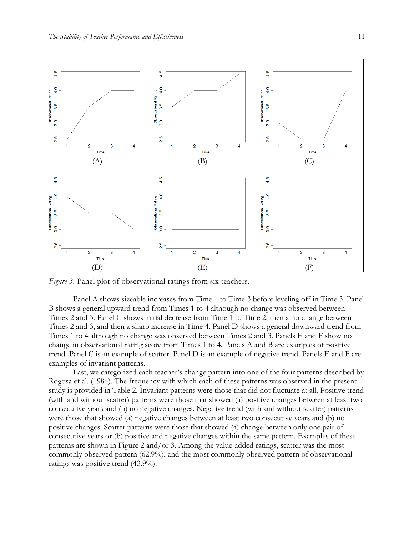

*Figure 3.* Panel plot of observational ratings from six teachers.

Panel A shows sizeable increases from Time 1 to Time 3 before leveling off in Time 3. Panel B shows a general upward trend from Times 1 to 4 although no change was observed between Times 2 and 3. Panel C shows initial decrease from Time 1 to Time 2, then a no change between Times 2 and 3, and then a sharp increase in Time 4. Panel D shows a general downward trend from Times 1 to 4 although no change was observed between Times 2 and 3. Panels E and F show no change in observational rating score from Times 1 to 4. Panels A and B are examples of positive trend. Panel C is an example of scatter. Panel D is an example of negative trend. Panels E and F are examples of invariant patterns.

Last, we categorized each teacher's change pattern into one of the four patterns described by Rogosa et al. (1984). The frequency with which each of these patterns was observed in the present study is provided in Table 2. Invariant patterns were those that did not fluctuate at all. Positive trend (with and without scatter) patterns were those that showed (a) positive changes between at least two consecutive years and (b) no negative changes. Negative trend (with and without scatter) patterns were those that showed (a) negative changes between at least two consecutive years and (b) no positive changes. Scatter patterns were those that showed (a) change between only one pair of consecutive years or (b) positive and negative changes within the same pattern. Examples of these patterns are shown in Figure 2 and/or 3. Among the value-added ratings, scatter was the most commonly observed pattern (62.9%), and the most commonly observed pattern of observational ratings was positive trend (43.9%).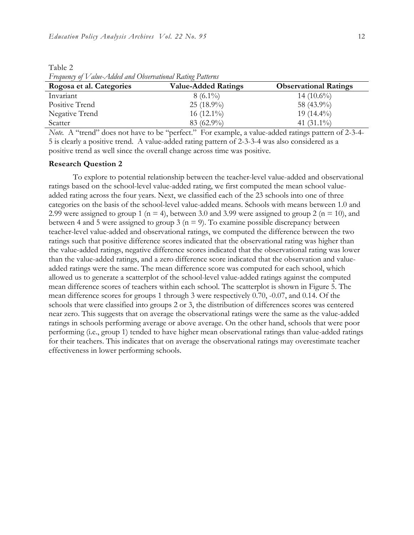| Rogosa et al. Categories | <b>Value-Added Ratings</b> | <b>Observational Ratings</b> |
|--------------------------|----------------------------|------------------------------|
| Invariant                | $8(6.1\%)$                 | $14(10.6\%)$                 |
| Positive Trend           | $25(18.9\%)$               | 58 (43.9%)                   |
| Negative Trend           | 16 $(12.1\%)$              | 19 $(14.4\%)$                |
| Scatter                  | $83(62.9\%)$               | 41 $(31.1\%)$                |
| --- -                    |                            | .                            |

Table 2 *Frequency of Value-Added and Observational Rating Patterns*

*Note.* A "trend" does not have to be "perfect." For example, a value-added ratings pattern of 2-3-4-5 is clearly a positive trend. A value-added rating pattern of 2-3-3-4 was also considered as a positive trend as well since the overall change across time was positive.

#### **Research Question 2**

To explore to potential relationship between the teacher-level value-added and observational ratings based on the school-level value-added rating, we first computed the mean school valueadded rating across the four years. Next, we classified each of the 23 schools into one of three categories on the basis of the school-level value-added means. Schools with means between 1.0 and 2.99 were assigned to group 1 ( $n = 4$ ), between 3.0 and 3.99 were assigned to group 2 ( $n = 10$ ), and between 4 and 5 were assigned to group 3 ( $n = 9$ ). To examine possible discrepancy between teacher-level value-added and observational ratings, we computed the difference between the two ratings such that positive difference scores indicated that the observational rating was higher than the value-added ratings, negative difference scores indicated that the observational rating was lower than the value-added ratings, and a zero difference score indicated that the observation and valueadded ratings were the same. The mean difference score was computed for each school, which allowed us to generate a scatterplot of the school-level value-added ratings against the computed mean difference scores of teachers within each school. The scatterplot is shown in Figure 5. The mean difference scores for groups 1 through 3 were respectively 0.70, -0.07, and 0.14. Of the schools that were classified into groups 2 or 3, the distribution of differences scores was centered near zero. This suggests that on average the observational ratings were the same as the value-added ratings in schools performing average or above average. On the other hand, schools that were poor performing (i.e., group 1) tended to have higher mean observational ratings than value-added ratings for their teachers. This indicates that on average the observational ratings may overestimate teacher effectiveness in lower performing schools.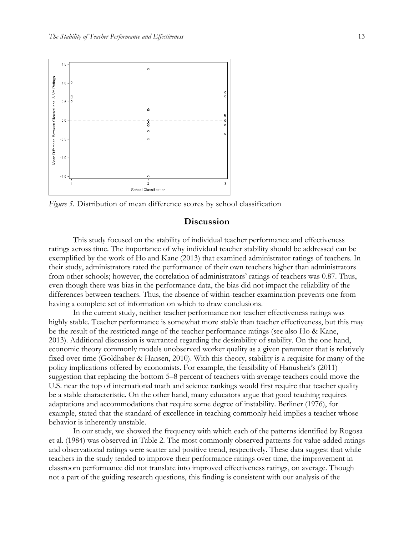

*Figure 5.* Distribution of mean difference scores by school classification

## **Discussion**

This study focused on the stability of individual teacher performance and effectiveness ratings across time. The importance of why individual teacher stability should be addressed can be exemplified by the work of Ho and Kane (2013) that examined administrator ratings of teachers. In their study, administrators rated the performance of their own teachers higher than administrators from other schools; however, the correlation of administrators' ratings of teachers was 0.87. Thus, even though there was bias in the performance data, the bias did not impact the reliability of the differences between teachers. Thus, the absence of within-teacher examination prevents one from having a complete set of information on which to draw conclusions.

In the current study, neither teacher performance nor teacher effectiveness ratings was highly stable. Teacher performance is somewhat more stable than teacher effectiveness, but this may be the result of the restricted range of the teacher performance ratings (see also Ho & Kane, 2013). Additional discussion is warranted regarding the desirability of stability. On the one hand, economic theory commonly models unobserved worker quality as a given parameter that is relatively fixed over time (Goldhaber & Hansen, 2010). With this theory, stability is a requisite for many of the policy implications offered by economists. For example, the feasibility of Hanushek's (2011) suggestion that replacing the bottom 5–8 percent of teachers with average teachers could move the U.S. near the top of international math and science rankings would first require that teacher quality be a stable characteristic. On the other hand, many educators argue that good teaching requires adaptations and accommodations that require some degree of instability. Berliner (1976), for example, stated that the standard of excellence in teaching commonly held implies a teacher whose behavior is inherently unstable.

In our study, we showed the frequency with which each of the patterns identified by Rogosa et al. (1984) was observed in Table 2. The most commonly observed patterns for value-added ratings and observational ratings were scatter and positive trend, respectively. These data suggest that while teachers in the study tended to improve their performance ratings over time, the improvement in classroom performance did not translate into improved effectiveness ratings, on average. Though not a part of the guiding research questions, this finding is consistent with our analysis of the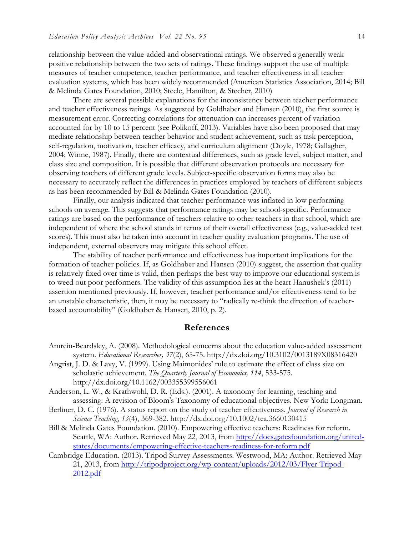relationship between the value-added and observational ratings. We observed a generally weak positive relationship between the two sets of ratings. These findings support the use of multiple measures of teacher competence, teacher performance, and teacher effectiveness in all teacher evaluation systems, which has been widely recommended (American Statistics Association, 2014; Bill & Melinda Gates Foundation, 2010; Steele, Hamilton, & Stecher, 2010)

There are several possible explanations for the inconsistency between teacher performance and teacher effectiveness ratings. As suggested by Goldhaber and Hansen (2010), the first source is measurement error. Correcting correlations for attenuation can increases percent of variation accounted for by 10 to 15 percent (see Polikoff, 2013). Variables have also been proposed that may mediate relationship between teacher behavior and student achievement, such as task perception, self-regulation, motivation, teacher efficacy, and curriculum alignment (Doyle, 1978; Gallagher, 2004; Winne, 1987). Finally, there are contextual differences, such as grade level, subject matter, and class size and composition. It is possible that different observation protocols are necessary for observing teachers of different grade levels. Subject-specific observation forms may also be necessary to accurately reflect the differences in practices employed by teachers of different subjects as has been recommended by Bill & Melinda Gates Foundation (2010).

Finally, our analysis indicated that teacher performance was inflated in low performing schools on average. This suggests that performance ratings may be school-specific. Performance ratings are based on the performance of teachers relative to other teachers in that school, which are independent of where the school stands in terms of their overall effectiveness (e.g., value-added test scores). This must also be taken into account in teacher quality evaluation programs. The use of independent, external observers may mitigate this school effect.

The stability of teacher performance and effectiveness has important implications for the formation of teacher policies. If, as Goldhaber and Hansen (2010) suggest, the assertion that quality is relatively fixed over time is valid, then perhaps the best way to improve our educational system is to weed out poor performers. The validity of this assumption lies at the heart Hanushek's (2011) assertion mentioned previously. If, however, teacher performance and/or effectiveness tend to be an unstable characteristic, then, it may be necessary to "radically re-think the direction of teacherbased accountability" (Goldhaber & Hansen, 2010, p. 2).

### **References**

- Angrist, J. D. & Lavy, V. (1999). Using Maimonides' rule to estimate the effect of class size on scholastic achievement. *The Quarterly Journal of Economics, 114*, 533-575. http://dx.doi.org/10.1162/003355399556061
- Anderson, L. W., & Krathwohl, D. R. (Eds.). (2001). A taxonomy for learning, teaching and assessing: A revision of Bloom's Taxonomy of educational objectives. New York: Longman.
- Berliner, D. C. (1976). A status report on the study of teacher effectiveness. *Journal of Research in Science Teaching*, *13*(4), 369-382. http://dx.doi.org/10.1002/tea.3660130415
- Bill & Melinda Gates Foundation. (2010). Empowering effective teachers: Readiness for reform. Seattle, WA: Author. Retrieved May 22, 2013, from http://docs.gatesfoundation.org/unitedstates/documents/empowering-effective-teachers-readiness-for-reform.pdf
- Cambridge Education. (2013). Tripod Survey Assessments. Westwood, MA: Author. Retrieved May 21, 2013, from http://tripodproject.org/wp-content/uploads/2012/03/Flyer-Tripod-2012.pdf

Amrein-Beardsley, A. (2008). Methodological concerns about the education value-added assessment system. *Educational Researcher, 37*(2), 65-75. http://dx.doi.org/10.3102/0013189X08316420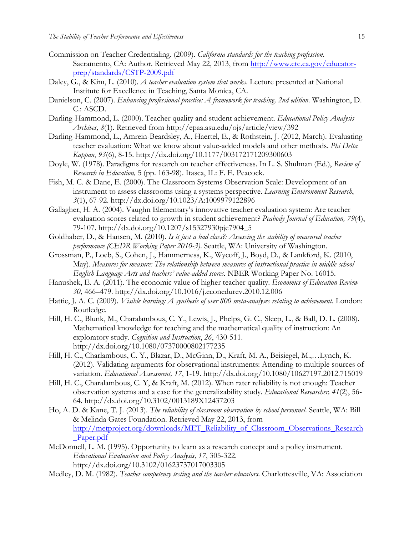- Commission on Teacher Credentialing. (2009). *California standards for the teaching profession*. Sacramento, CA: Author. Retrieved May 22, 2013, from http://www.ctc.ca.gov/educatorprep/standards/CSTP-2009.pdf
- Daley, G., & Kim, L. (2010). *A teacher evaluation system that works*. Lecture presented at National Institute for Excellence in Teaching, Santa Monica, CA.
- Danielson, C. (2007). *Enhancing professional practice: A framework for teaching, 2nd edition*. Washington, D. C.: ASCD.
- Darling-Hammond, L. (2000). Teacher quality and student achievement. *Educational Policy Analysis Archives, 8*(1). Retrieved from http://epaa.asu.edu/ojs/article/view/392
- Darling-Hammond, L., Amrein-Beardsley, A., Haertel, E., & Rothstein, J. (2012, March). Evaluating teacher evaluation: What we know about value-added models and other methods. *Phi Delta Kappan*, *93*(6), 8-15. http://dx.doi.org/10.1177/003172171209300603
- Doyle, W. (1978). Paradigms for research on teacher effectiveness. In L. S. Shulman (Ed.), *Review of Research in Education,* 5 (pp. 163-98). Itasca, IL: F. E. Peacock.
- Fish, M. C. & Dane, E. (2000). The Classroom Systems Observation Scale: Development of an instrument to assess classrooms using a systems perspective. *Learning Environment Research*, *3*(1), 67-92. http://dx.doi.org/10.1023/A:1009979122896
- Gallagher, H. A. (2004). Vaughn Elementary's innovative teacher evaluation system: Are teacher evaluation scores related to growth in student achievement? *Peabody Journal of Education, 79*(4), 79-107. http://dx.doi.org/10.1207/s15327930pje7904\_5
- Goldhaber, D., & Hansen, M. (2010). *Is it just a bad class?: Assessing the stability of measured teacher performance (CEDR Working Paper 2010-3)*. Seattle, WA: University of Washington.
- Grossman, P., Loeb, S., Cohen, J., Hammerness, K., Wycoff, J., Boyd, D., & Lankford, K. (2010, May). *Measures for measure: The relationship between measures of instructional practice in middle school English Language Arts and teachers' value-added scores.* NBER Working Paper No. 16015.
- Hanushek, E. A. (2011). The economic value of higher teacher quality. *Economics of Education Review 30,* 466–479. http://dx.doi.org/10.1016/j.econedurev.2010.12.006
- Hattie, J. A. C. (2009). *Visible learning: A synthesis of over 800 meta-analyses relating to achievement*. London: Routledge.
- Hill, H. C., Blunk, M., Charalambous, C. Y., Lewis, J., Phelps, G. C., Sleep, L., & Ball, D. L. (2008). Mathematical knowledge for teaching and the mathematical quality of instruction: An exploratory study. *Cognition and Instruction*, *26*, 430-511. http://dx.doi.org/10.1080/07370000802177235
- Hill, H. C., Charlambous, C. Y., Blazar, D., McGinn, D., Kraft, M. A., Beisiegel, M.,…Lynch, K. (2012). Validating arguments for observational instruments: Attending to multiple sources of variation. *Educational Assessment, 17*, 1-19. http://dx.doi.org/10.1080/10627197.2012.715019
- Hill, H. C., Charalambous, C. Y, & Kraft, M. (2012). When rater reliability is not enough: Teacher observation systems and a case for the generalizability study. *Educational Researcher, 41*(2), 56- 64. http://dx.doi.org/10.3102/0013189X12437203
- Ho, A. D. & Kane, T. J. (2013). *The reliability of classroom observation by school personnel*. Seattle, WA: Bill & Melinda Gates Foundation. Retrieved May 22, 2013, from http://metproject.org/downloads/MET\_Reliability\_of\_Classroom\_Observations\_Research \_Paper.pdf
- McDonnell, L. M. (1995). Opportunity to learn as a research concept and a policy instrument. *Educational Evaluation and Policy Analysis, 17*, 305-322. http://dx.doi.org/10.3102/01623737017003305
- Medley, D. M. (1982). *Teacher competency testing and the teacher educators*. Charlottesville, VA: Association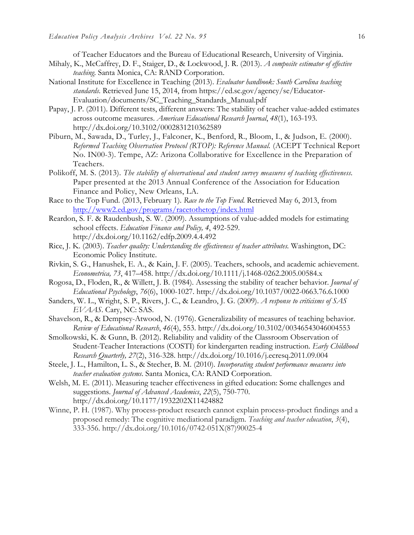of Teacher Educators and the Bureau of Educational Research, University of Virginia.

- Mihaly, K., McCaffrey, D. F., Staiger, D., & Lockwood, J. R. (2013). *A composite estimator of effective teaching*. Santa Monica, CA: RAND Corporation.
- National Institute for Excellence in Teaching (2013). *Evaluator handbook: South Carolina teaching standards*. Retrieved June 15, 2014, from https://ed.sc.gov/agency/se/Educator-Evaluation/documents/SC\_Teaching\_Standards\_Manual.pdf
- Papay, J. P. (2011). Different tests, different answers: The stability of teacher value-added estimates across outcome measures. *American Educational Research Journal*, *48*(1), 163-193. http://dx.doi.org/10.3102/0002831210362589
- Piburn, M., Sawada, D., Turley, J., Falconer, K., Benford, R., Bloom, I., & Judson, E. (2000). *Reformed Teaching Observation Protocol (RTOP): Reference Manual.* (ACEPT Technical Report No. IN00-3). Tempe, AZ: Arizona Collaborative for Excellence in the Preparation of Teachers.
- Polikoff, M. S. (2013). *The stability of observational and student survey measures of teaching effectiveness.* Paper presented at the 2013 Annual Conference of the Association for Education Finance and Policy, New Orleans, LA.
- Race to the Top Fund. (2013, February 1). *Race to the Top Fund*. Retrieved May 6, 2013, from http://www2.ed.gov/programs/racetothetop/index.html
- Reardon, S. F. & Raudenbush, S. W. (2009). Assumptions of value-added models for estimating school effects. *Education Finance and Policy, 4*, 492-529. http://dx.doi.org/10.1162/edfp.2009.4.4.492
- Rice, J. K. (2003). *Teacher quality: Understanding the effectiveness of teacher attributes.* Washington, DC: Economic Policy Institute.
- Rivkin, S. G., Hanushek, E. A., & Kain, J. F. (2005). Teachers, schools, and academic achievement. *Econometrica, 73*, 417–458. http://dx.doi.org/10.1111/j.1468-0262.2005.00584.x
- Rogosa, D., Floden, R., & Willett, J. B. (1984). Assessing the stability of teacher behavior. *Journal of Educational Psychology*, *76*(6), 1000-1027. http://dx.doi.org/10.1037/0022-0663.76.6.1000
- Sanders, W. L., Wright, S. P., Rivers, J. C., & Leandro, J. G. (2009). *A response to criticisms of SAS EVAAS*. Cary, NC: SAS.
- Shavelson, R., & Dempsey-Atwood, N. (1976). Generalizability of measures of teaching behavior. *Review of Educational Research*, *46*(4), 553. http://dx.doi.org/10.3102/00346543046004553
- Smolkowski, K. & Gunn, B. (2012). Reliability and validity of the Classroom Observation of Student-Teacher Interactions (COSTI) for kindergarten reading instruction. *Early Childhood Research Quarterly, 27*(2), 316-328. http://dx.doi.org/10.1016/j.ecresq.2011.09.004
- Steele, J. L., Hamilton, L. S., & Stecher, B. M. (2010). *Incorporating student performance measures into teacher evaluation systems*. Santa Monica, CA: RAND Corporation.
- Welsh, M. E. (2011). Measuring teacher effectiveness in gifted education: Some challenges and suggestions. *Journal of Advanced Academics*, *22*(5), 750-770. http://dx.doi.org/10.1177/1932202X11424882
- Winne, P. H. (1987). Why process-product research cannot explain process-product findings and a proposed remedy: The cognitive mediational paradigm. *Teaching and teacher education*, *3*(4), 333-356. http://dx.doi.org/10.1016/0742-051X(87)90025-4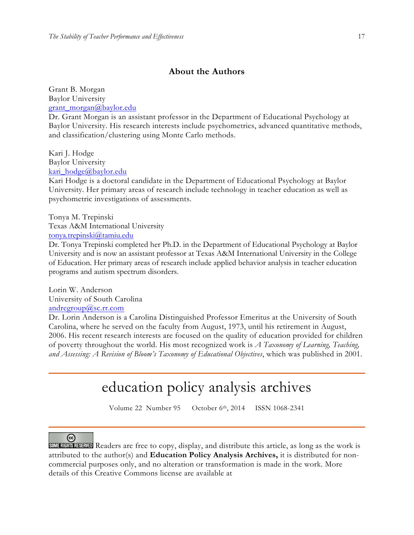## **About the Authors**

Grant B. Morgan Baylor University grant\_morgan@baylor.edu

Dr. Grant Morgan is an assistant professor in the Department of Educational Psychology at Baylor University. His research interests include psychometrics, advanced quantitative methods, and classification/clustering using Monte Carlo methods.

Kari J. Hodge Baylor University kari\_hodge@baylor.edu

Kari Hodge is a doctoral candidate in the Department of Educational Psychology at Baylor University. Her primary areas of research include technology in teacher education as well as psychometric investigations of assessments.

Tonya M. Trepinski Texas A&M International University tonya.trepinski@tamiu.edu

Dr. Tonya Trepinski completed her Ph.D. in the Department of Educational Psychology at Baylor University and is now an assistant professor at Texas A&M International University in the College of Education. Her primary areas of research include applied behavior analysis in teacher education programs and autism spectrum disorders.

Lorin W. Anderson University of South Carolina andregroup@sc.rr.com

Dr. Lorin Anderson is a Carolina Distinguished Professor Emeritus at the University of South Carolina, where he served on the faculty from August, 1973, until his retirement in August, 2006. His recent research interests are focused on the quality of education provided for children of poverty throughout the world. His most recognized work is *A Taxonomy of Learning, Teaching, and Assessing: A Revision of Bloom's Taxonomy of Educational Objectives*, which was published in 2001.

# education policy analysis archives

Volume 22 Number 95 October 6th, 2014 ISSN 1068-2341

## ⊚

**SOMERIGHTS RESERVED** Readers are free to copy, display, and distribute this article, as long as the work is attributed to the author(s) and **Education Policy Analysis Archives,** it is distributed for noncommercial purposes only, and no alteration or transformation is made in the work. More details of this Creative Commons license are available at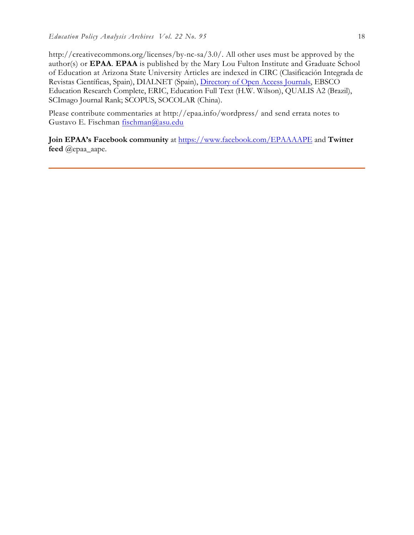http://creativecommons.org/licenses/by-nc-sa/3.0/. All other uses must be approved by the author(s) or **EPAA**. **EPAA** is published by the Mary Lou Fulton Institute and Graduate School of Education at Arizona State University Articles are indexed in CIRC (Clasificación Integrada de Revistas Científicas, Spain), DIALNET (Spain), Directory of Open Access Journals, EBSCO Education Research Complete, ERIC, Education Full Text (H.W. Wilson), QUALIS A2 (Brazil), SCImago Journal Rank; SCOPUS, SOCOLAR (China).

Please contribute commentaries at http://epaa.info/wordpress/ and send errata notes to Gustavo E. Fischman fischman@asu.edu

**Join EPAA's Facebook community** at https://www.facebook.com/EPAAAAPE and **Twitter feed** @epaa\_aape.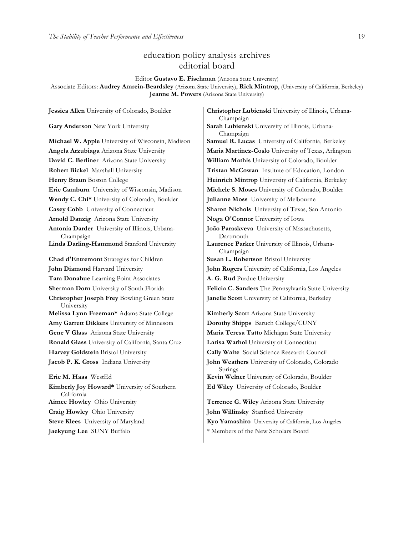## education policy analysis archives editorial board

Editor **Gustavo E. Fischman** (Arizona State University)

Associate Editors: **Audrey Amrein-Beardsley** (Arizona State University), **Rick Mintrop**, (University of California, Berkeley) **Jeanne M. Powers** (Arizona State University)

**David C. Berliner** Arizona State University **William Mathis** University of Colorado, Boulder **Robert Bickel** Marshall University **Tristan McCowan** Institute of Education, London **Eric Camburn** University of Wisconsin, Madison **Michele S. Moses** University of Colorado, Boulder **Wendy C. Chi\*** University of Colorado, Boulder **Julianne Moss** University of Melbourne **Casey Cobb** University of Connecticut **Sharon Nichols** University of Texas, San Antonio **Arnold Danzig** Arizona State University **Noga O'Connor** University of Iowa **Antonia Darder** University of Illinois, Urbana-Champaign **Linda Darling-Hammond** Stanford University **Laurence Parker** University of Illinois, Urbana-**Chad d'Entremont** Strategies for Children **Susan L. Robertson** Bristol University **John Diamond** Harvard University **John Rogers** University of California, Los Angeles **Tara Donahue** Learning Point Associates **A. G. Rud** Purdue University **Christopher Joseph Frey** Bowling Green State University **Melissa Lynn Freeman\*** Adams State College **Kimberly Scott** Arizona State University **Amy Garrett Dikkers** University of Minnesota **Dorothy Shipps** Baruch College/CUNY **Gene V Glass** Arizona State University **Maria Teresa Tatto** Michigan State University **Ronald Glass** University of California, Santa Cruz **Larisa Warhol** University of Connecticut **Harvey Goldstein** Bristol University **Cally Waite** Social Science Research Council **Jacob P. K. Gross** Indiana University **John Weathers** University of Colorado, Colorado **Eric M. Haas** WestEd **Kevin Welner** University of Colorado, Boulder **Kimberly Joy Howard\*** University of Southern California **Aimee Howley** Ohio University **Terrence G. Wiley** Arizona State University

**Jessica Allen** University of Colorado, Boulder **Christopher Lubienski** University of Illinois, Urbana-Champaign **Gary Anderson** New York University **Sarah Lubienski** University of Illinois, Urbana-Champaign **Michael W. Apple** University of Wisconsin, Madison **Samuel R. Lucas** University of California, Berkeley **Angela Arzubiaga** Arizona State University **Maria Martinez-Coslo** University of Texas, Arlington **Henry Braun** Boston College **Heinrich Mintrop** University of California, Berkeley **João Paraskveva** University of Massachusetts, Dartmouth Champaign **Sherman Dorn** University of South Florida **Felicia C. Sanders** The Pennsylvania State University **Janelle Scott** University of California, Berkeley

> Springs **Ed Wiley** University of Colorado, Boulder

**Craig Howley** Ohio University **John Willinsky** Stanford University **Steve Klees** University of Maryland **Kyo Yamashiro** University of California, Los Angeles **Jaekyung Lee** SUNY Buffalo  $*$  Members of the New Scholars Board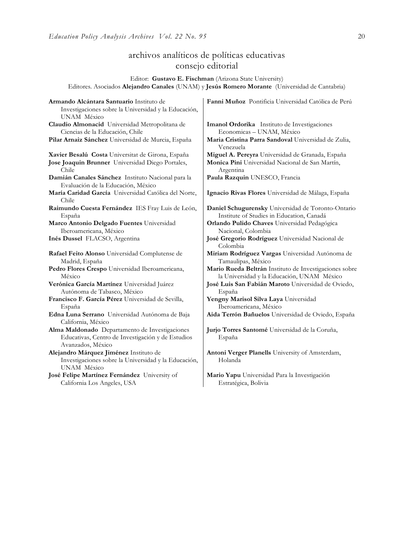## archivos analíticos de políticas educativas consejo editorial

Editor: **Gustavo E. Fischman** (Arizona State University) Editores. Asociados **Alejandro Canales** (UNAM) y **Jesús Romero Morante** (Universidad de Cantabria)

| Armando Alcántara Santuario Instituto de<br>Investigaciones sobre la Universidad y la Educación,<br>UNAM México          | Fanni Muñoz Pontificia Universidad Católica de Perú              |  |
|--------------------------------------------------------------------------------------------------------------------------|------------------------------------------------------------------|--|
| Claudio Almonacid Universidad Metropolitana de                                                                           | Imanol Ordorika Instituto de Investigaciones                     |  |
| Ciencias de la Educación, Chile                                                                                          | Economicas - UNAM, México                                        |  |
| Pilar Arnaiz Sánchez Universidad de Murcia, España                                                                       | Maria Cristina Parra Sandoval Universidad de Zulia,<br>Venezuela |  |
| Xavier Besalú Costa Universitat de Girona, España                                                                        | Miguel A. Pereyra Universidad de Granada, España                 |  |
| Jose Joaquin Brunner Universidad Diego Portales,                                                                         | Monica Pini Universidad Nacional de San Martín,                  |  |
| Chile                                                                                                                    | Argentina                                                        |  |
| Damián Canales Sánchez Instituto Nacional para la<br>Evaluación de la Educación, México                                  | Paula Razquin UNESCO, Francia                                    |  |
| María Caridad García Universidad Católica del Norte,<br>Chile                                                            | Ignacio Rivas Flores Universidad de Málaga, España               |  |
| Raimundo Cuesta Fernández IES Fray Luis de León,                                                                         | Daniel Schugurensky Universidad de Toronto-Ontario               |  |
| España                                                                                                                   | Institute of Studies in Education, Canadá                        |  |
| Marco Antonio Delgado Fuentes Universidad                                                                                | Orlando Pulido Chaves Universidad Pedagógica                     |  |
| Iberoamericana, México                                                                                                   | Nacional, Colombia                                               |  |
| Inés Dussel FLACSO, Argentina                                                                                            | José Gregorio Rodríguez Universidad Nacional de<br>Colombia      |  |
| Rafael Feito Alonso Universidad Complutense de                                                                           | Miriam Rodríguez Vargas Universidad Autónoma de                  |  |
| Madrid, España                                                                                                           | Tamaulipas, México                                               |  |
| Pedro Flores Crespo Universidad Iberoamericana,                                                                          | Mario Rueda Beltrán Instituto de Investigaciones sobre           |  |
| México                                                                                                                   | la Universidad y la Educación, UNAM México                       |  |
| Verónica García Martínez Universidad Juárez                                                                              | José Luis San Fabián Maroto Universidad de Oviedo,               |  |
| Autónoma de Tabasco, México                                                                                              | España                                                           |  |
| Francisco F. García Pérez Universidad de Sevilla,                                                                        | Yengny Marisol Silva Laya Universidad                            |  |
| España                                                                                                                   | Iberoamericana, México                                           |  |
| Edna Luna Serrano Universidad Autónoma de Baja<br>California, México                                                     | Aida Terrón Bañuelos Universidad de Oviedo, España               |  |
| Alma Maldonado Departamento de Investigaciones<br>Educativas, Centro de Investigación y de Estudios<br>Avanzados, México | Jurio Torres Santomé Universidad de la Coruña,<br>España         |  |
| Alejandro Márquez Jiménez Instituto de<br>Investigaciones sobre la Universidad y la Educación,<br>UNAM México            | Antoni Verger Planells University of Amsterdam,<br>Holanda       |  |
| José Felipe Martínez Fernández University of                                                                             | Mario Yapu Universidad Para la Investigación                     |  |
| California Los Angeles, USA                                                                                              | Estratégica, Bolivia                                             |  |